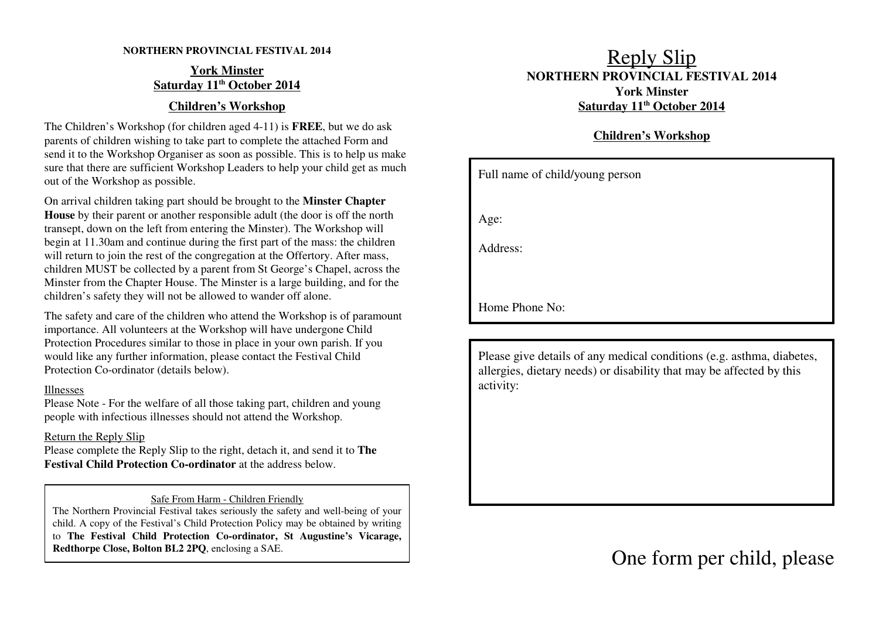#### **NORTHERN PROVINCIAL FESTIVAL 2014**

#### **York MinsterSaturday 11th October 2014**

### **Children's Workshop**

The Children's Workshop (for children aged 4-11) is **FREE**, but we do ask parents of children wishing to take part to complete the attached Form and send it to the Workshop Organiser as soon as possible. This is to help us make sure that there are sufficient Workshop Leaders to help your child get as muchout of the Workshop as possible.

On arrival children taking part should be brought to the **Minster Chapter House** by their parent or another responsible adult (the door is off the northtransept, down on the left from entering the Minster). The Workshop will begin at 11.30am and continue during the first part of the mass: the children will return to join the rest of the congregation at the Offertory. After mass, children MUST be collected by a parent from St George's Chapel, across the Minster from the Chapter House. The Minster is a large building, and for thechildren's safety they will not be allowed to wander off alone.

The safety and care of the children who attend the Workshop is of paramountimportance. All volunteers at the Workshop will have undergone Child Protection Procedures similar to those in place in your own parish. If youwould like any further information, please contact the Festival ChildProtection Co-ordinator (details below).

#### Illnesses

 Please Note - For the welfare of all those taking part, children and youngpeople with infectious illnesses should not attend the Workshop.

#### Return the Reply Slip

 Please complete the Reply Slip to the right, detach it, and send it to **TheFestival Child Protection Co-ordinator** at the address below.

#### Safe From Harm - Children Friendly

 The Northern Provincial Festival takes seriously the safety and well-being of your child. A copy of the Festival's Child Protection Policy may be obtained by writing to **The Festival Child Protection Co-ordinator, St Augustine's Vicarage,Redthorpe Close, Bolton BL2 2PQ**, enclosing a SAE.

## Reply Slip **NORTHERN PROVINCIAL FESTIVAL 2014York MinsterSaturday 11th October 2014**

## **Children's Workshop**

| Full name of child/young person |
|---------------------------------|
|                                 |
| Age:                            |
| Address:                        |
|                                 |
| Home Phone No:                  |

Please give details of any medical conditions (e.g. asthma, diabetes,allergies, dietary needs) or disability that may be affected by thisactivity:

One form per child, please